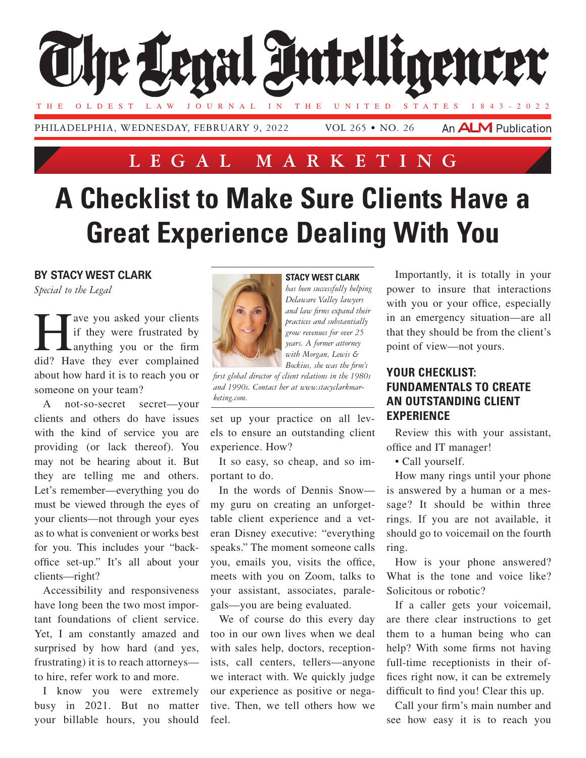

## **Lega l Marketing**

# **A Checklist to Make Sure Clients Have a Great Experience Dealing With You**

#### **By Stacy West Clark**

*Special to the Legal*

The you asked your clients<br>if they were frustrated by<br>anything you or the firm if they were frustrated by anything you or the firm did? Have they ever complained about how hard it is to reach you or someone on your team?

A not-so-secret secret—your clients and others do have issues with the kind of service you are providing (or lack thereof). You may not be hearing about it. But they are telling me and others. Let's remember—everything you do must be viewed through the eyes of your clients—not through your eyes as to what is convenient or works best for you. This includes your "backoffice set-up." It's all about your clients—right?

Accessibility and responsiveness have long been the two most important foundations of client service. Yet, I am constantly amazed and surprised by how hard (and yes, frustrating) it is to reach attorneys to hire, refer work to and more.

I know you were extremely busy in 2021. But no matter your billable hours, you should

#### **Stacy West Clark**

*has been successfully helping Delaware Valley lawyers and law firms expand their practices and substantially grow revenues for over 25 years. A former attorney with Morgan, Lewis & Bockius, she was the firm's* 

*first global director of client relations in the 1980s and 1990s. Contact her at [www.stacyclarkmar](http://www.stacyclarkmarketing.com/)[keting.com.](http://www.stacyclarkmarketing.com/)*

set up your practice on all levels to ensure an outstanding client experience. How?

It so easy, so cheap, and so important to do.

In the words of Dennis Snow my guru on creating an unforgettable client experience and a veteran Disney executive: "everything speaks." The moment someone calls you, emails you, visits the office, meets with you on Zoom, talks to your assistant, associates, paralegals—you are being evaluated.

We of course do this every day too in our own lives when we deal with sales help, doctors, receptionists, call centers, tellers—anyone we interact with. We quickly judge our experience as positive or negative. Then, we tell others how we feel.

Importantly, it is totally in your power to insure that interactions with you or your office, especially in an emergency situation—are all that they should be from the client's point of view—not yours.

### **Your Checklist: Fundamentals to Create an Outstanding Client Experience**

Review this with your assistant, office and IT manager!

• Call yourself.

How many rings until your phone is answered by a human or a message? It should be within three rings. If you are not available, it should go to voicemail on the fourth ring.

How is your phone answered? What is the tone and voice like? Solicitous or robotic?

If a caller gets your voicemail, are there clear instructions to get them to a human being who can help? With some firms not having full-time receptionists in their offices right now, it can be extremely difficult to find you! Clear this up.

Call your firm's main number and see how easy it is to reach you